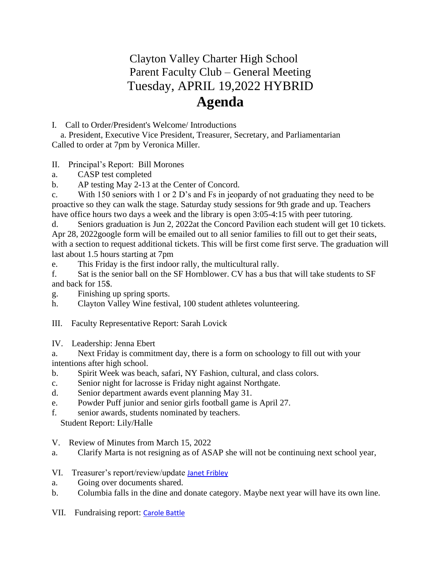## Clayton Valley Charter High School Parent Faculty Club – General Meeting Tuesday, APRIL 19,2022 HYBRID **Agenda**

## I. Call to Order/President's Welcome/ Introductions

 a. President, Executive Vice President, Treasurer, Secretary, and Parliamentarian Called to order at 7pm by Veronica Miller.

II. Principal's Report: Bill Morones

a. CASP test completed

b. AP testing May 2-13 at the Center of Concord.

c. With 150 seniors with 1 or 2 D's and Fs in jeopardy of not graduating they need to be proactive so they can walk the stage. Saturday study sessions for 9th grade and up. Teachers have office hours two days a week and the library is open 3:05-4:15 with peer tutoring.

d. Seniors graduation is Jun 2, 2022at the Concord Pavilion each student will get 10 tickets. Apr 28, 2022google form will be emailed out to all senior families to fill out to get their seats, with a section to request additional tickets. This will be first come first serve. The graduation will last about 1.5 hours starting at 7pm

e. This Friday is the first indoor rally, the multicultural rally.

f. Sat is the senior ball on the SF Hornblower. CV has a bus that will take students to SF and back for 15\$.

- g. Finishing up spring sports.
- h. Clayton Valley Wine festival, 100 student athletes volunteering.
- III. Faculty Representative Report: Sarah Lovick
- IV. Leadership: Jenna Ebert

a. Next Friday is commitment day, there is a form on schoology to fill out with your intentions after high school.

- b. Spirit Week was beach, safari, NY Fashion, cultural, and class colors.
- c. Senior night for lacrosse is Friday night against Northgate.
- d. Senior department awards event planning May 31.
- e. Powder Puff junior and senior girls football game is April 27.
- f. senior awards, students nominated by teachers.

Student Report: Lily/Halle

- V. Review of Minutes from March 15, 2022
- a. Clarify Marta is not resigning as of ASAP she will not be continuing next school year,
- VI. Treasurer's report/review/update [Janet Fribley](mailto:treasurer@cvchspfc.com)
- a. Going over documents shared.
- b. Columbia falls in the dine and donate category. Maybe next year will have its own line.
- VII. Fundraising report: [Carole Battle](mailto:fundraising-vp@cvchspfc.com)